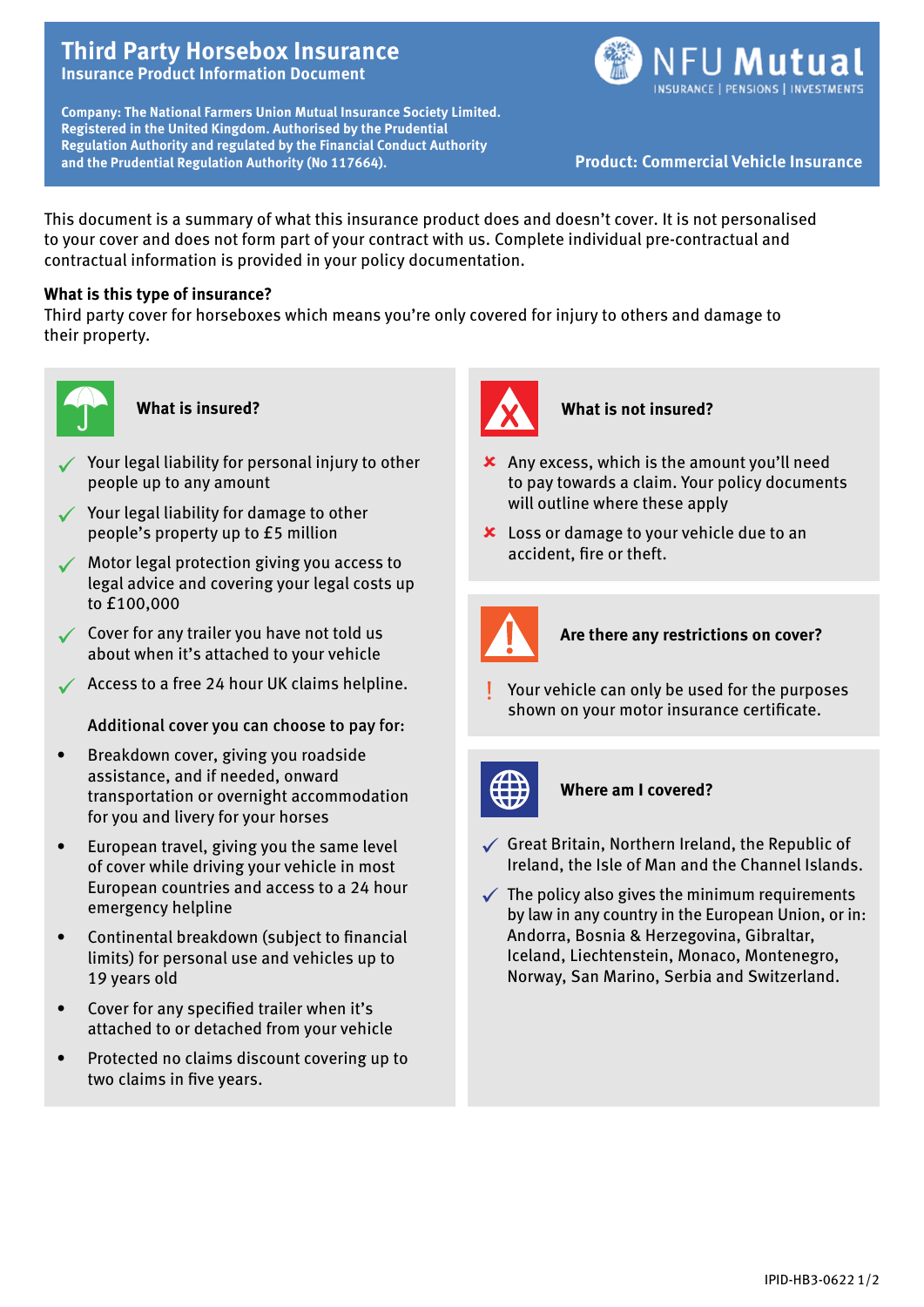# **Third Party Horsebox Insurance Insurance Product Information Document**

**Company: The National Farmers Union Mutual Insurance Society Limited. Registered in the United Kingdom. Authorised by the Prudential Regulation Authority and regulated by the Financial Conduct Authority and the Prudential Regulation Authority (No 117664). Product: Commercial Vehicle Insurance** 



This document is a summary of what this insurance product does and doesn't cover. It is not personalised to your cover and does not form part of your contract with us. Complete individual pre-contractual and contractual information is provided in your policy documentation.

## **What is this type of insurance?**

Third party cover for horseboxes which means you're only covered for injury to others and damage to their property.



#### **What is insured?**

- $\checkmark$  Your legal liability for personal injury to other people up to any amount
- $\checkmark$  Your legal liability for damage to other people's property up to £5 million
- ü Motor legal protection giving you access to legal advice and covering your legal costs up to £100,000
- $\checkmark$  Cover for any trailer you have not told us about when it's attached to your vehicle
- $\checkmark$  Access to a free 24 hour UK claims helpline.

Additional cover you can choose to pay for:

- • Breakdown cover, giving you roadside assistance, and if needed, onward transportation or overnight accommodation for you and livery for your horses
- European travel, giving you the same level of cover while driving your vehicle in most European countries and access to a 24 hour emergency helpline
- Continental breakdown (subject to financial limits) for personal use and vehicles up to 19 years old
- Cover for any specified trailer when it's attached to or detached from your vehicle
- Protected no claims discount covering up to two claims in five years.



### **What is not insured?**

- $\boldsymbol{\times}$  Any excess, which is the amount you'll need to pay towards a claim. Your policy documents will outline where these apply
- **x** Loss or damage to your vehicle due to an accident, fire or theft.



### **Are there any restrictions on cover?**

Your vehicle can only be used for the purposes shown on your motor insurance certificate.



#### **Where am I covered?**

- $\checkmark$  Great Britain, Northern Ireland, the Republic of Ireland, the Isle of Man and the Channel Islands.
- $\checkmark$  The policy also gives the minimum requirements by law in any country in the European Union, or in: Andorra, Bosnia & Herzegovina, Gibraltar, Iceland, Liechtenstein, Monaco, Montenegro, Norway, San Marino, Serbia and Switzerland.